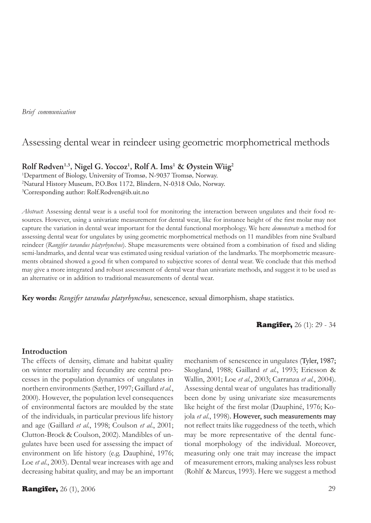*Brief communication*

# Assessing dental wear in reindeer using geometric morphometrical methods

# **Rolf Rødven1,3, Nigel G. Yoccoz1 , Rolf A. Ims1 & Øystein Wiig2**

1 Department of Biology, University of Tromsø, N-9037 Tromsø, Norway. 2 Natural History Museum, P.O.Box 1172, Blindern, N-0318 Oslo, Norway. 3 Corresponding author: Rolf.Rodven@ib.uit.no

*Abstract*: Assessing dental wear is a useful tool for monitoring the interaction between ungulates and their food resources. However, using a univariate measurement for dental wear, like for instance height of the first molar may not capture the variation in dental wear important for the dental functional morphology. We here *demonstrate* a method for assessing dental wear for ungulates by using geometric morphometrical methods on 11 mandibles from nine Svalbard reindeer (*Rangifer tarandus platyrhynchus*). Shape measurements were obtained from a combination of fixed and sliding semi-landmarks, and dental wear was estimated using residual variation of the landmarks. The morphometric measurements obtained showed a good fit when compared to subjective scores of dental wear. We conclude that this method may give a more integrated and robust assessment of dental wear than univariate methods, and suggest it to be used as an alternative or in addition to traditional measurements of dental wear.

**Key words:** *Rangifer tarandus platyrhynchus*, senescence, sexual dimorphism, shape statistics.

**Rangifer, 26 (1): 29 - 34** 

### **Introduction**

The effects of density, climate and habitat quality on winter mortality and fecundity are central processes in the population dynamics of ungulates in northern environments (Sæther, 1997; Gaillard *et al.*, 2000). However, the population level consequences of environmental factors are moulded by the state of the individuals, in particular previous life history and age (Gaillard *et al.*, 1998; Coulson *et al.*, 2001; Clutton-Brock & Coulson, 2002). Mandibles of ungulates have been used for assessing the impact of environment on life history (e.g. Dauphiné, 1976; Loe *et al.*, 2003). Dental wear increases with age and decreasing habitat quality, and may be an important

**Rangifer,** 26 (1), 2006 29

mechanism of senescence in ungulates (Tyler, 1987; Skogland, 1988; Gaillard *et al.*, 1993; Ericsson & Wallin, 2001; Loe *et al.*, 2003; Carranza *et al.*, 2004). Assessing dental wear of ungulates has traditionally been done by using univariate size measurements like height of the first molar (Dauphiné, 1976; Kojola et al., 1998). However, such measurements may not reflect traits like ruggedness of the teeth, which may be more representative of the dental functional morphology of the individual. Moreover, measuring only one trait may increase the impact of measurement errors, making analyses less robust (Rohlf & Marcus, 1993). Here we suggest a method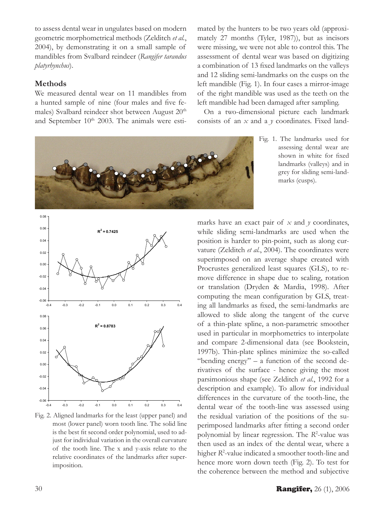to assess dental wear in ungulates based on modern geometric morphometrical methods (Zelditch *et al.*, 2004), by demonstrating it on a small sample of mandibles from Svalbard reindeer (*Rangifer tarandus platyrhynchus*).

## **Methods**

We measured dental wear on 11 mandibles from a hunted sample of nine (four males and five females) Svalbard reindeer shot between August 20<sup>th</sup> and September 10<sup>th</sup> 2003. The animals were esti-

mated by the hunters to be two years old (approximately 27 months (Tyler, 1987)), but as incisors were missing, we were not able to control this. The assessment of dental wear was based on digitizing a combination of 13 fixed landmarks on the valleys and 12 sliding semi-landmarks on the cusps on the left mandible (Fig. 1). In four cases a mirror-image of the right mandible was used as the teeth on the left mandible had been damaged after sampling.

On a two-dimensional picture each landmark consists of an *x* and a *y* coordinates. Fixed land-

> Fig. 1. The landmarks used for assessing dental wear are shown in white for fixed landmarks (valleys) and in grey for sliding semi-landmarks (cusps).



Fig. 2. Aligned landmarks for the least (upper panel) and most (lower panel) worn tooth line. The solid line is the best fit second order polynomial, used to adjust for individual variation in the overall curvature of the tooth line. The x and y-axis relate to the relative coordinates of the landmarks after superimposition.

marks have an exact pair of  $x$  and  $y$  coordinates, while sliding semi-landmarks are used when the position is harder to pin-point, such as along curvature (Zelditch *et al.*, 2004). The coordinates were superimposed on an average shape created with Procrustes generalized least squares (GLS), to remove difference in shape due to scaling, rotation or translation (Dryden & Mardia, 1998). After computing the mean configuration by GLS, treating all landmarks as fixed, the semi-landmarks are allowed to slide along the tangent of the curve of a thin-plate spline, a non-parametric smoother used in particular in morphometrics to interpolate and compare 2-dimensional data (see Bookstein, 1997b). Thin-plate splines minimize the so-called "bending energy"  $- a$  function of the second derivatives of the surface - hence giving the most parsimonious shape (see Zelditch *et al.*, 1992 for a description and example). To allow for individual differences in the curvature of the tooth-line, the dental wear of the tooth-line was assessed using the residual variation of the positions of the superimposed landmarks after fitting a second order polynomial by linear regression. The *R*<sup>2</sup> -value was then used as an index of the dental wear, where a higher *R*<sup>2</sup> -value indicated a smoother tooth-line and hence more worn down teeth (Fig. 2). To test for the coherence between the method and subjective

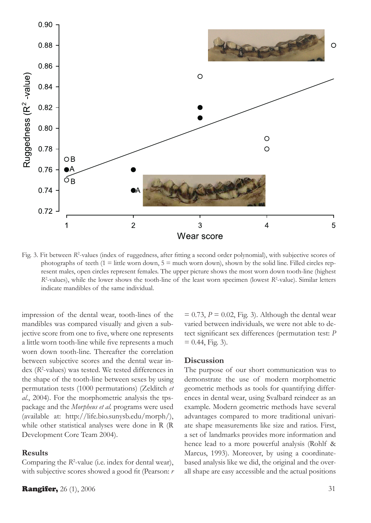

Fig. 3. Fit between *R*<sup>2</sup>-values (index of ruggedness, after fitting a second order polynomial), with subjective scores of photographs of teeth  $(1 =$  little worn down,  $5 =$  much worn down), shown by the solid line. Filled circles represent males, open circles represent females. The upper picture shows the most worn down tooth-line (highest *R*<sup>2</sup>-values), while the lower shows the tooth-line of the least worn specimen (lowest *R*<sup>2</sup>-value). Similar letters indicate mandibles of the same individual.

impression of the dental wear, tooth-lines of the mandibles was compared visually and given a subjective score from one to five, where one represents a little worn tooth-line while five represents a much worn down tooth-line. Thereafter the correlation between subjective scores and the dental wear index (*R*<sup>2</sup> -values) was tested. We tested differences in the shape of the tooth-line between sexes by using permutation tests (1000 permutations) (Zelditch *et al.*, 2004). For the morphometric analysis the tpspackage and the *Morpheus et al.* programs were used (available at: http://life.bio.sunysb.edu/morph/), while other statistical analyses were done in R (R Development Core Team 2004).

#### **Results**

Comparing the *R*<sup>2</sup>-value (i.e. index for dental wear), with subjective scores showed a good fit (Pearson: *r*

 $= 0.73$ ,  $P = 0.02$ , Fig. 3). Although the dental wear varied between individuals, we were not able to detect significant sex differences (permutation test: *P*  $= 0.44$ , Fig. 3).

#### **Discussion**

The purpose of our short communication was to demonstrate the use of modern morphometric geometric methods as tools for quantifying differences in dental wear, using Svalbard reindeer as an example. Modern geometric methods have several advantages compared to more traditional univariate shape measurements like size and ratios. First, a set of landmarks provides more information and hence lead to a more powerful analysis (Rohlf & Marcus, 1993). Moreover, by using a coordinatebased analysis like we did, the original and the overall shape are easy accessible and the actual positions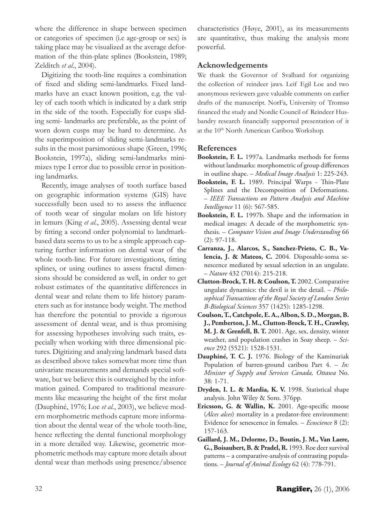where the difference in shape between specimen or categories of specimen (i.e age-group or sex) is taking place may be visualized as the average deformation of the thin-plate splines (Bookstein, 1989; Zelditch *et al.*, 2004).

Digitizing the tooth-line requires a combination of fixed and sliding semi-landmarks. Fixed landmarks have an exact known position, e.g. the valley of each tooth which is indicated by a dark strip in the side of the tooth. Especially for cusps sliding semi- landmarks are preferable, as the point of worn down cusps may be hard to determine. As the superimposition of sliding semi-landmarks results in the most parsimonious shape (Green, 1996; Bookstein, 1997a), sliding semi-landmarks minimizes type I error due to possible error in positioning landmarks.

Recently, image analyses of tooth surface based on geographic information systems (GIS) have successfully been used to to assess the influence of tooth wear of singular molars on life history in lemurs (King *et al.*, 2005). Assessing dental wear by fitting a second order polynomial to landmarkbased data seems to us to be a simple approach capturing further information on dental wear of the whole tooth-line. For future investigations, fitting splines, or using outlines to assess fractal dimensions should be considered as well, in order to get robust estimates of the quantitative differences in dental wear and relate them to life history parameters such as for instance body weight. The method has therefore the potential to provide a rigorous assessment of dental wear, and is thus promising for assessing hypotheses involving such traits, especially when working with three dimensional pictures. Digitizing and analyzing landmark based data as described above takes somewhat more time than univariate measurements and demands special software, but we believe this is outweighed by the information gained. Compared to traditional measurements like measuring the height of the first molar (Dauphiné, 1976; Loe *et al.*, 2003), we believe modern morphometric methods capture more information about the dental wear of the whole tooth-line, hence reflecting the dental functional morphology in a more detailed way. Likewise, geometric morphometric methods may capture more details about dental wear than methods using presence/absence characteristics (Høye, 2001), as its measurements are quantitative, thus making the analysis more powerful.

### **Acknowledgements**

We thank the Governor of Svalbard for organizing the collection of reindeer jaws. Leif Egil Loe and two anonymous reviewers gave valuable comments on earlier drafts of the manuscript. NorFa, University of Tromsø financed the study and Nordic Council of Reindeer Husbandry research financially supported presentation of it at the 10<sup>th</sup> North American Caribou Workshop.

### **References**

- **Bookstein, F. L.** 1997a. Landmarks methods for forms without landmarks: morphometric of group differences in outline shape. – *Medical Image Analysis* 1: 225-243.
- **Bookstein, F. L.** 1989. Principal Warps Thin-Plate Splines and the Decomposition of Deformations. – *IEEE Transactions on Pattern Analysis and Machine Intelligence* 11 (6): 567-585.
- **Bookstein, F. L.** 1997b. Shape and the information in medical images: A decade of the morphometric synthesis. – *Computer Vision and Image Understanding* 66 (2): 97-118.
- **Carranza, J., Alarcos, S., Sanchez-Prieto, C. B., Valencia, J. & Mateos, C.** 2004. Disposable-soma senescence mediated by sexual selection in an ungulate. – *Nature* 432 (7014): 215-218.
- **Clutton-Brock, T. H. & Coulson, T.** 2002. Comparative ungulate dynamics: the devil is in the detail. – *Philosophical Transactions of the Royal Society of London Series B-Biological Sciences* 357 (1425): 1285-1298.
- **Coulson, T., Catchpole, E. A., Albon, S. D., Morgan, B. J., Pemberton, J. M., Clutton-Brock, T. H., Crawley, M. J. & Grenfell, B. T.** 2001. Age, sex, density, winter weather, and population crashes in Soay sheep. – *Science* 292 (5521): 1528-1531.
- **Dauphiné, T. C. J.** 1976. Biology of the Kaminuriak Population of barren-ground caribou Part 4. – *In: Minister of Supply and Services Canada, Ottawa* No. 38: 1-71.
- **Dryden, I. L. & Mardia, K. V.** 1998. Statistical shape analysis. John Wiley & Sons. 376pp.
- **Ericsson, G. & Wallin, K.** 2001. Age-specific moose (*Alces alces*) mortality in a predator-free environment: Evidence for senescence in females. – *Ecoscience* 8 (2): 157-163.
- **Gaillard, J. M., Delorme, D., Boutin, J. M., Van Laere, G., Boisaubert, B. & Pradel, R.** 1993. Roe deer survival patterns – a comparative-analysis of contrasting populations. – *Journal of Animal Ecology* 62 (4): 778-791.